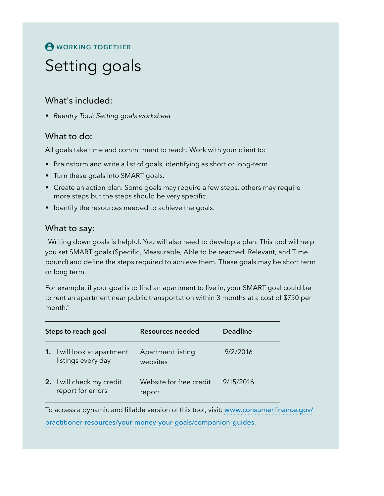# **A** WORKING TOGETHER

# Setting goals

## What's included:

§ *Reentry Tool: Setting goals worksheet*

## What to do:

All goals take time and commitment to reach. Work with your client to:

- Brainstorm and write a list of goals, identifying as short or long-term.
- **•** Turn these goals into SMART goals.
- Create an action plan. Some goals may require a few steps, others may require more steps but the steps should be very specific.
- Identify the resources needed to achieve the goals.

#### What to say:

"Writing down goals is helpful. You will also need to develop a plan. This tool will help you set SMART goals (Specific, Measurable, Able to be reached, Relevant, and Time bound) and define the steps required to achieve them. These goals may be short term or long term.

For example, if your goal is to find an apartment to live in, your SMART goal could be to rent an apartment near public transportation within 3 months at a cost of \$750 per month."

| Steps to reach goal |                                                          | <b>Resources needed</b>                                                        | <b>Deadline</b> |
|---------------------|----------------------------------------------------------|--------------------------------------------------------------------------------|-----------------|
|                     | <b>1.</b> I will look at apartment<br>listings every day | Apartment listing<br>websites                                                  | 9/2/2016        |
|                     | 2. I will check my credit<br>report for errors           | Website for free credit<br>report                                              | 9/15/2016       |
|                     |                                                          | To access a dynamic and fillable version of this tool, visit www.consumerfiner |                 |

To access a dynamic and fillable version of this tool, visit: [www.consumerfinance.gov/](http://www.consumerfinance.gov/practitioner-resources/your-money-your-goals/companion-guides) [practitioner-resources/your-money-your-goals/companion-guides](http://www.consumerfinance.gov/practitioner-resources/your-money-your-goals/companion-guides).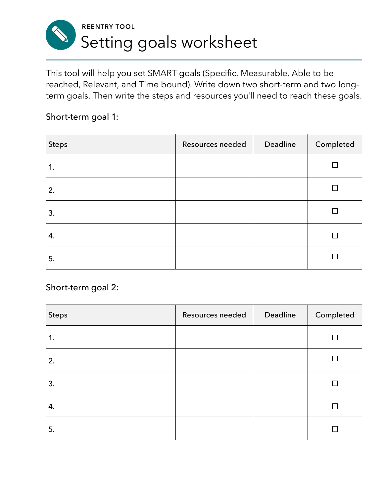

This tool will help you set SMART goals (Specific, Measurable, Able to be reached, Relevant, and Time bound). Write down two short-term and two longterm goals. Then write the steps and resources you'll need to reach these goals.

#### Short-term goal 1:

| Steps | Resources needed | Deadline | Completed |
|-------|------------------|----------|-----------|
| 1.    |                  |          |           |
| 2.    |                  |          |           |
| 3.    |                  |          |           |
| 4.    |                  |          |           |
| 5.    |                  |          |           |

Short-term goal 2:

| <b>Steps</b> | Resources needed | Deadline | Completed |
|--------------|------------------|----------|-----------|
| 1.           |                  |          |           |
| 2.           |                  |          |           |
| 3.           |                  |          |           |
| 4.           |                  |          |           |
| 5.           |                  |          |           |